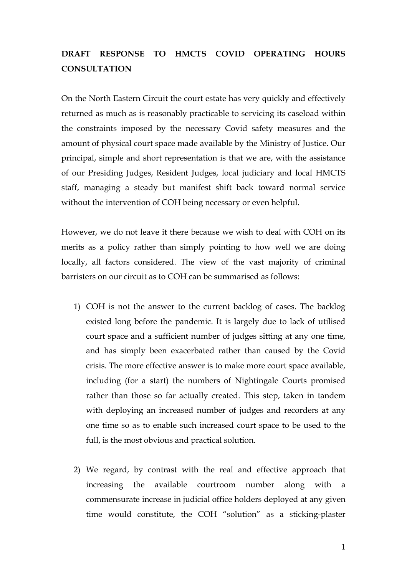## **DRAFT RESPONSE TO HMCTS COVID OPERATING HOURS CONSULTATION**

On the North Eastern Circuit the court estate has very quickly and effectively returned as much as is reasonably practicable to servicing its caseload within the constraints imposed by the necessary Covid safety measures and the amount of physical court space made available by the Ministry of Justice. Our principal, simple and short representation is that we are, with the assistance of our Presiding Judges, Resident Judges, local judiciary and local HMCTS staff, managing a steady but manifest shift back toward normal service without the intervention of COH being necessary or even helpful.

However, we do not leave it there because we wish to deal with COH on its merits as a policy rather than simply pointing to how well we are doing locally, all factors considered. The view of the vast majority of criminal barristers on our circuit as to COH can be summarised as follows:

- 1) COH is not the answer to the current backlog of cases. The backlog existed long before the pandemic. It is largely due to lack of utilised court space and a sufficient number of judges sitting at any one time, and has simply been exacerbated rather than caused by the Covid crisis. The more effective answer is to make more court space available, including (for a start) the numbers of Nightingale Courts promised rather than those so far actually created. This step, taken in tandem with deploying an increased number of judges and recorders at any one time so as to enable such increased court space to be used to the full, is the most obvious and practical solution.
- 2) We regard, by contrast with the real and effective approach that increasing the available courtroom number along with a commensurate increase in judicial office holders deployed at any given time would constitute, the COH "solution" as a sticking-plaster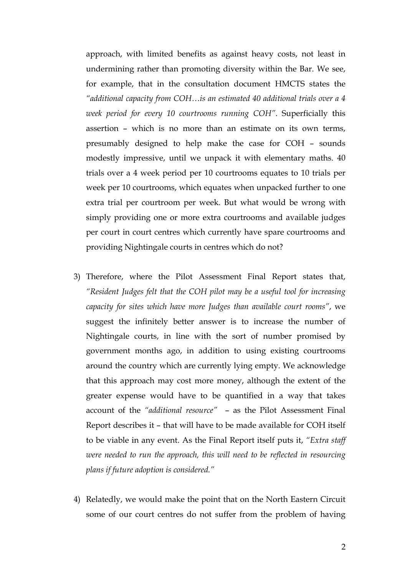approach, with limited benefits as against heavy costs, not least in undermining rather than promoting diversity within the Bar. We see, for example, that in the consultation document HMCTS states the *"additional capacity from COH…is an estimated 40 additional trials over a 4 week period for every 10 courtrooms running COH"*. Superficially this assertion – which is no more than an estimate on its own terms, presumably designed to help make the case for COH – sounds modestly impressive, until we unpack it with elementary maths. 40 trials over a 4 week period per 10 courtrooms equates to 10 trials per week per 10 courtrooms, which equates when unpacked further to one extra trial per courtroom per week. But what would be wrong with simply providing one or more extra courtrooms and available judges per court in court centres which currently have spare courtrooms and providing Nightingale courts in centres which do not?

- 3) Therefore, where the Pilot Assessment Final Report states that, *"Resident Judges felt that the COH pilot may be a useful tool for increasing capacity for sites which have more Judges than available court rooms"*, we suggest the infinitely better answer is to increase the number of Nightingale courts, in line with the sort of number promised by government months ago, in addition to using existing courtrooms around the country which are currently lying empty. We acknowledge that this approach may cost more money, although the extent of the greater expense would have to be quantified in a way that takes account of the *"additional resource"* – as the Pilot Assessment Final Report describes it – that will have to be made available for COH itself to be viable in any event. As the Final Report itself puts it, *"Extra staff were needed to run the approach, this will need to be reflected in resourcing plans if future adoption is considered."*
- 4) Relatedly, we would make the point that on the North Eastern Circuit some of our court centres do not suffer from the problem of having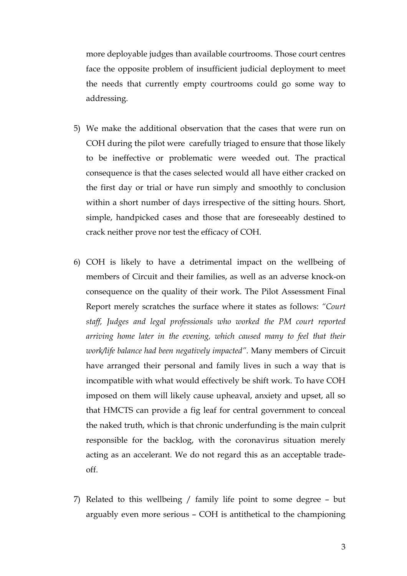more deployable judges than available courtrooms. Those court centres face the opposite problem of insufficient judicial deployment to meet the needs that currently empty courtrooms could go some way to addressing.

- 5) We make the additional observation that the cases that were run on COH during the pilot were carefully triaged to ensure that those likely to be ineffective or problematic were weeded out. The practical consequence is that the cases selected would all have either cracked on the first day or trial or have run simply and smoothly to conclusion within a short number of days irrespective of the sitting hours. Short, simple, handpicked cases and those that are foreseeably destined to crack neither prove nor test the efficacy of COH.
- 6) COH is likely to have a detrimental impact on the wellbeing of members of Circuit and their families, as well as an adverse knock-on consequence on the quality of their work. The Pilot Assessment Final Report merely scratches the surface where it states as follows: *"Court staff, Judges and legal professionals who worked the PM court reported arriving home later in the evening, which caused many to feel that their work/life balance had been negatively impacted".* Many members of Circuit have arranged their personal and family lives in such a way that is incompatible with what would effectively be shift work. To have COH imposed on them will likely cause upheaval, anxiety and upset, all so that HMCTS can provide a fig leaf for central government to conceal the naked truth, which is that chronic underfunding is the main culprit responsible for the backlog, with the coronavirus situation merely acting as an accelerant. We do not regard this as an acceptable tradeoff.
- 7) Related to this wellbeing / family life point to some degree but arguably even more serious – COH is antithetical to the championing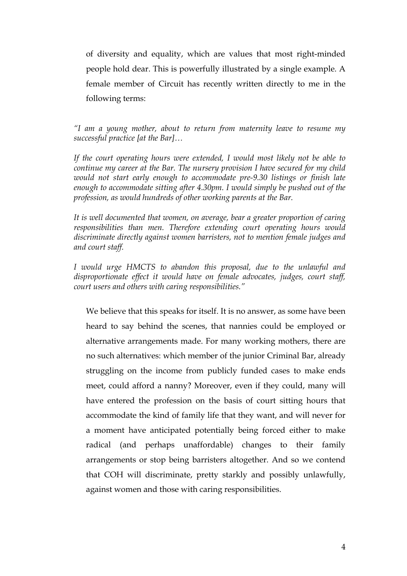of diversity and equality, which are values that most right-minded people hold dear. This is powerfully illustrated by a single example. A female member of Circuit has recently written directly to me in the following terms:

*"I am a young mother, about to return from maternity leave to resume my successful practice [at the Bar]…*

*If the court operating hours were extended, I would most likely not be able to continue my career at the Bar. The nursery provision I have secured for my child would not start early enough to accommodate pre-9.30 listings or finish late enough to accommodate sitting after 4.30pm. I would simply be pushed out of the profession, as would hundreds of other working parents at the Bar.* 

*It is well documented that women, on average, bear a greater proportion of caring responsibilities than men. Therefore extending court operating hours would discriminate directly against women barristers, not to mention female judges and and court staff.* 

*I would urge HMCTS to abandon this proposal, due to the unlawful and disproportionate effect it would have on female advocates, judges, court staff, court users and others with caring responsibilities."* 

We believe that this speaks for itself. It is no answer, as some have been heard to say behind the scenes, that nannies could be employed or alternative arrangements made. For many working mothers, there are no such alternatives: which member of the junior Criminal Bar, already struggling on the income from publicly funded cases to make ends meet, could afford a nanny? Moreover, even if they could, many will have entered the profession on the basis of court sitting hours that accommodate the kind of family life that they want, and will never for a moment have anticipated potentially being forced either to make radical (and perhaps unaffordable) changes to their family arrangements or stop being barristers altogether. And so we contend that COH will discriminate, pretty starkly and possibly unlawfully, against women and those with caring responsibilities.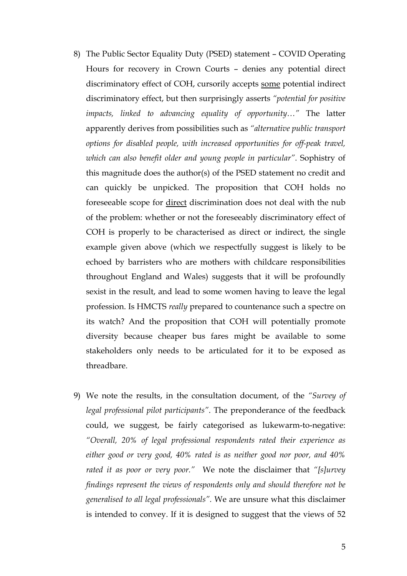- 8) The Public Sector Equality Duty (PSED) statement COVID Operating Hours for recovery in Crown Courts – denies any potential direct discriminatory effect of COH, cursorily accepts some potential indirect discriminatory effect, but then surprisingly asserts *"potential for positive impacts, linked to advancing equality of opportunity…"* The latter apparently derives from possibilities such as *"alternative public transport options for disabled people, with increased opportunities for off-peak travel, which can also benefit older and young people in particular"*. Sophistry of this magnitude does the author(s) of the PSED statement no credit and can quickly be unpicked. The proposition that COH holds no foreseeable scope for direct discrimination does not deal with the nub of the problem: whether or not the foreseeably discriminatory effect of COH is properly to be characterised as direct or indirect, the single example given above (which we respectfully suggest is likely to be echoed by barristers who are mothers with childcare responsibilities throughout England and Wales) suggests that it will be profoundly sexist in the result, and lead to some women having to leave the legal profession. Is HMCTS *really* prepared to countenance such a spectre on its watch? And the proposition that COH will potentially promote diversity because cheaper bus fares might be available to some stakeholders only needs to be articulated for it to be exposed as threadbare.
- 9) We note the results, in the consultation document, of the *"Survey of legal professional pilot participants"*. The preponderance of the feedback could, we suggest, be fairly categorised as lukewarm-to-negative: *"Overall, 20% of legal professional respondents rated their experience as either good or very good, 40% rated is as neither good nor poor, and 40% rated it as poor or very poor."* We note the disclaimer that *"[s]urvey findings represent the views of respondents only and should therefore not be generalised to all legal professionals".* We are unsure what this disclaimer is intended to convey. If it is designed to suggest that the views of 52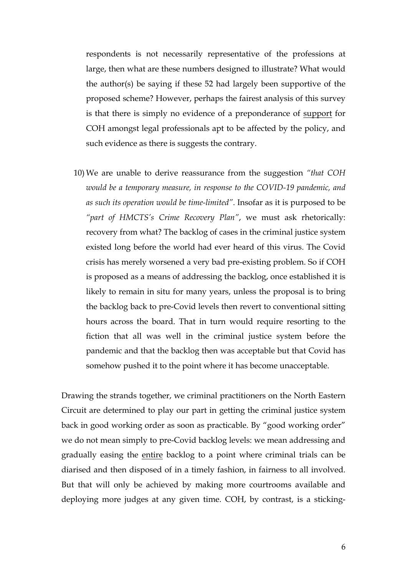respondents is not necessarily representative of the professions at large, then what are these numbers designed to illustrate? What would the author(s) be saying if these 52 had largely been supportive of the proposed scheme? However, perhaps the fairest analysis of this survey is that there is simply no evidence of a preponderance of support for COH amongst legal professionals apt to be affected by the policy, and such evidence as there is suggests the contrary.

10) We are unable to derive reassurance from the suggestion *"that COH would be a temporary measure, in response to the COVID-19 pandemic, and as such its operation would be time-limited"*. Insofar as it is purposed to be *"part of HMCTS's Crime Recovery Plan"*, we must ask rhetorically: recovery from what? The backlog of cases in the criminal justice system existed long before the world had ever heard of this virus. The Covid crisis has merely worsened a very bad pre-existing problem. So if COH is proposed as a means of addressing the backlog, once established it is likely to remain in situ for many years, unless the proposal is to bring the backlog back to pre-Covid levels then revert to conventional sitting hours across the board. That in turn would require resorting to the fiction that all was well in the criminal justice system before the pandemic and that the backlog then was acceptable but that Covid has somehow pushed it to the point where it has become unacceptable.

Drawing the strands together, we criminal practitioners on the North Eastern Circuit are determined to play our part in getting the criminal justice system back in good working order as soon as practicable. By "good working order" we do not mean simply to pre-Covid backlog levels: we mean addressing and gradually easing the entire backlog to a point where criminal trials can be diarised and then disposed of in a timely fashion, in fairness to all involved. But that will only be achieved by making more courtrooms available and deploying more judges at any given time. COH, by contrast, is a sticking